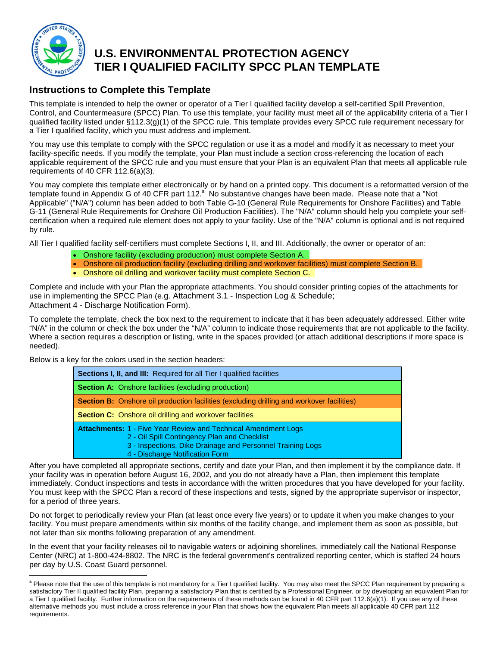

 $\overline{a}$ 

# **U.S. ENVIRONMENTAL PROTECTION AGENCY TIER I QUALIFIED FACILITY SPCC PLAN TEMPLATE**

## **Instructions to Complete this Template**

This template is intended to help the owner or operator of a Tier I qualified facility develop a self-certified Spill Prevention, Control, and Countermeasure (SPCC) Plan. To use this template, your facility must meet all of the applicability criteria of a Tier I qualified facility listed under §112.3(g)(1) of the SPCC rule. This template provides every SPCC rule requirement necessary for a Tier I qualified facility, which you must address and implement.

You may use this template to comply with the SPCC regulation or use it as a model and modify it as necessary to meet your facility-specific needs. If you modify the template, your Plan must include a section cross-referencing the location of each applicable requirement of the SPCC rule and you must ensure that your Plan is an equivalent Plan that meets all applicable rule requirements of 40 CFR 112.6(a)(3).

You may complete this template either electronically or by hand on a printed copy. This document is a reformatted version of the template found in Appendix G of 40 CFR part 112.<sup>a</sup> No substantive changes have been made. Please note that a "Not Applicable" ("N/A") column has been added to both Table G-10 (General Rule Requirements for Onshore Facilities) and Table G-11 (General Rule Requirements for Onshore Oil Production Facilities). The "N/A" column should help you complete your selfcertification when a required rule element does not apply to your facility. Use of the "N/A" column is optional and is not required by rule.

All Tier I qualified facility self-certifiers must complete Sections I, II, and III. Additionally, the owner or operator of an:

- Onshore facility (excluding production) must complete Section A.
- Onshore oil production facility (excluding drilling and workover facilities) must complete Section B.
- Onshore oil drilling and workover facility must complete Section C.

Complete and include with your Plan the appropriate attachments. You should consider printing copies of the attachments for use in implementing the SPCC Plan (e.g. Attachment 3.1 - Inspection Log & Schedule; Attachment 4 - Discharge Notification Form).

To complete the template, check the box next to the requirement to indicate that it has been adequately addressed. Either write "N/A" in the column or check the box under the "N/A" column to indicate those requirements that are not applicable to the facility. Where a section requires a description or listing, write in the spaces provided (or attach additional descriptions if more space is needed).

Below is a key for the colors used in the section headers:

| Sections I, II, and III: Required for all Tier I qualified facilities                                                                                                                                                  |
|------------------------------------------------------------------------------------------------------------------------------------------------------------------------------------------------------------------------|
| <b>Section A:</b> Onshore facilities (excluding production)                                                                                                                                                            |
| <b>Section B:</b> Onshore oil production facilities (excluding drilling and workover facilities)                                                                                                                       |
| <b>Section C:</b> Onshore oil drilling and workover facilities                                                                                                                                                         |
| <b>Attachments: 1 - Five Year Review and Technical Amendment Logs</b><br>2 - Oil Spill Contingency Plan and Checklist<br>3 - Inspections, Dike Drainage and Personnel Training Logs<br>4 - Discharge Notification Form |

After you have completed all appropriate sections, certify and date your Plan, and then implement it by the compliance date. If your facility was in operation before August 16, 2002, and you do not already have a Plan, then implement this template immediately. Conduct inspections and tests in accordance with the written procedures that you have developed for your facility. You must keep with the SPCC Plan a record of these inspections and tests, signed by the appropriate supervisor or inspector, for a period of three years.

Do not forget to periodically review your Plan (at least once every five years) or to update it when you make changes to your facility. You must prepare amendments within six months of the facility change, and implement them as soon as possible, but not later than six months following preparation of any amendment.

In the event that your facility releases oil to navigable waters or adjoining shorelines, immediately call the National Response Center (NRC) at 1-800-424-8802. The NRC is the federal government's centralized reporting center, which is staffed 24 hours per day by U.S. Coast Guard personnel.

<sup>&</sup>lt;sup>a</sup> Please note that the use of this template is not mandatory for a Tier I qualified facility. You may also meet the SPCC Plan requirement by preparing a satisfactory Tier II qualified facility Plan, preparing a satisfactory Plan that is certified by a Professional Engineer, or by developing an equivalent Plan for a Tier I qualified facility. Further information on the requirements of these methods can be found in 40 CFR part 112.6(a)(1). If you use any of these alternative methods you must include a cross reference in your Plan that shows how the equivalent Plan meets all applicable 40 CFR part 112 requirements.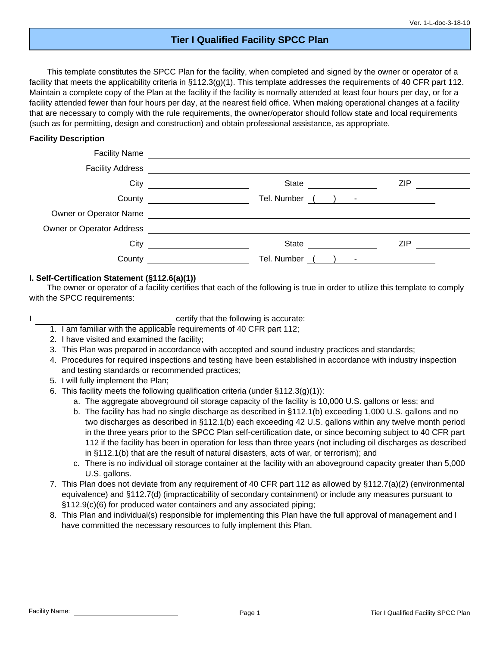## **Tier I Qualified Facility SPCC Plan**

This template constitutes the SPCC Plan for the facility, when completed and signed by the owner or operator of a facility that meets the applicability criteria in §112.3(g)(1). This template addresses the requirements of 40 CFR part 112. Maintain a complete copy of the Plan at the facility if the facility is normally attended at least four hours per day, or for a facility attended fewer than four hours per day, at the nearest field office. When making operational changes at a facility that are necessary to comply with the rule requirements, the owner/operator should follow state and local requirements (such as for permitting, design and construction) and obtain professional assistance, as appropriate.

#### **Facility Description**

| <b>Facility Address</b>   | <u> 1989 - Andrea State Barbara, política establecera en la contrada de la contrada de la contrada de la contrada</u> |            |
|---------------------------|-----------------------------------------------------------------------------------------------------------------------|------------|
|                           | City<br>State <u>________</u>                                                                                         | <b>ZIP</b> |
|                           | Tel. Number ( ) - <u>____________</u>                                                                                 |            |
|                           | Owner or Operator Name <b>Container and Container Container and Container and Container and Container</b>             |            |
| Owner or Operator Address | <u> 1980 - Andrea Station Barbara, amerikan personal (h. 1980).</u>                                                   |            |
| City                      | State <u>_________</u>                                                                                                | <b>ZIP</b> |
| County                    | Tel. Number<br>$\sim$                                                                                                 |            |

#### **I. Self-Certification Statement (§112.6(a)(1))**

The owner or operator of a facility certifies that each of the following is true in order to utilize this template to comply with the SPCC requirements:

certify that the following is accurate:

- 1. I am familiar with the applicable requirements of 40 CFR part 112;
- 2. I have visited and examined the facility;
- 3. This Plan was prepared in accordance with accepted and sound industry practices and standards;
- 4. Procedures for required inspections and testing have been established in accordance with industry inspection and testing standards or recommended practices;
- 5. I will fully implement the Plan;
- 6. This facility meets the following qualification criteria (under  $\S 112.3(q)(1)$ ):
	- a. The aggregate aboveground oil storage capacity of the facility is 10,000 U.S. gallons or less; and
	- b. The facility has had no single discharge as described in §112.1(b) exceeding 1,000 U.S. gallons and no two discharges as described in §112.1(b) each exceeding 42 U.S. gallons within any twelve month period in the three years prior to the SPCC Plan self-certification date, or since becoming subject to 40 CFR part 112 if the facility has been in operation for less than three years (not including oil discharges as described in §112.1(b) that are the result of natural disasters, acts of war, or terrorism); and
	- c. There is no individual oil storage container at the facility with an aboveground capacity greater than 5,000 U.S. gallons.
- 7. This Plan does not deviate from any requirement of 40 CFR part 112 as allowed by §112.7(a)(2) (environmental equivalence) and §112.7(d) (impracticability of secondary containment) or include any measures pursuant to §112.9(c)(6) for produced water containers and any associated piping;
- 8. This Plan and individual(s) responsible for implementing this Plan have the full approval of management and I have committed the necessary resources to fully implement this Plan.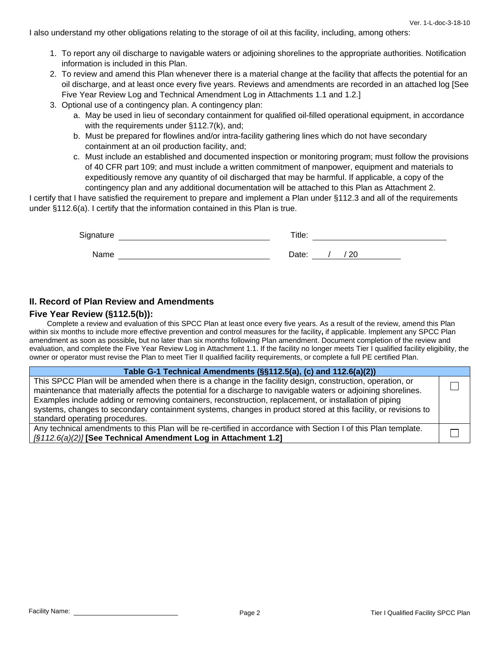I also understand my other obligations relating to the storage of oil at this facility, including, among others:

- 1. To report any oil discharge to navigable waters or adjoining shorelines to the appropriate authorities. Notification information is included in this Plan.
- 2. To review and amend this Plan whenever there is a material change at the facility that affects the potential for an oil discharge, and at least once every five years. Reviews and amendments are recorded in an attached log [See Five Year Review Log and Technical Amendment Log in Attachments 1.1 and 1.2.]
- 3. Optional use of a contingency plan. A contingency plan:
	- a. May be used in lieu of secondary containment for qualified oil-filled operational equipment, in accordance with the requirements under §112.7(k), and;
	- b. Must be prepared for flowlines and/or intra-facility gathering lines which do not have secondary containment at an oil production facility, and;
	- c. Must include an established and documented inspection or monitoring program; must follow the provisions of 40 CFR part 109; and must include a written commitment of manpower, equipment and materials to expeditiously remove any quantity of oil discharged that may be harmful. If applicable, a copy of the contingency plan and any additional documentation will be attached to this Plan as Attachment 2.

I certify that I have satisfied the requirement to prepare and implement a Plan under §112.3 and all of the requirements under §112.6(a). I certify that the information contained in this Plan is true.

| Signature | Title:        |
|-----------|---------------|
| Name      | ' 20<br>Date: |

#### **II. Record of Plan Review and Amendments**

#### **Five Year Review (§112.5(b)):**

Complete a review and evaluation of this SPCC Plan at least once every five years. As a result of the review, amend this Plan within six months to include more effective prevention and control measures for the facility**,** if applicable. Implement any SPCC Plan amendment as soon as possible**,** but no later than six months following Plan amendment. Document completion of the review and evaluation, and complete the Five Year Review Log in Attachment 1.1. If the facility no longer meets Tier I qualified facility eligibility, the owner or operator must revise the Plan to meet Tier II qualified facility requirements, or complete a full PE certified Plan.

| Table G-1 Technical Amendments (§§112.5(a), (c) and 112.6(a)(2))                                                                                                                                                                                                                                                                                                                                                                                                                          |  |
|-------------------------------------------------------------------------------------------------------------------------------------------------------------------------------------------------------------------------------------------------------------------------------------------------------------------------------------------------------------------------------------------------------------------------------------------------------------------------------------------|--|
| This SPCC Plan will be amended when there is a change in the facility design, construction, operation, or<br>maintenance that materially affects the potential for a discharge to navigable waters or adjoining shorelines.<br>Examples include adding or removing containers, reconstruction, replacement, or installation of piping<br>systems, changes to secondary containment systems, changes in product stored at this facility, or revisions to<br>standard operating procedures. |  |
| Any technical amendments to this Plan will be re-certified in accordance with Section Lof this Plan template                                                                                                                                                                                                                                                                                                                                                                              |  |

Any technical amendments to this Plan will be re-certified in accordance with Section I of this Plan template. *[§112.6(a)(2)]* **[See Technical Amendment Log in Attachment 1.2]**

 $\perp$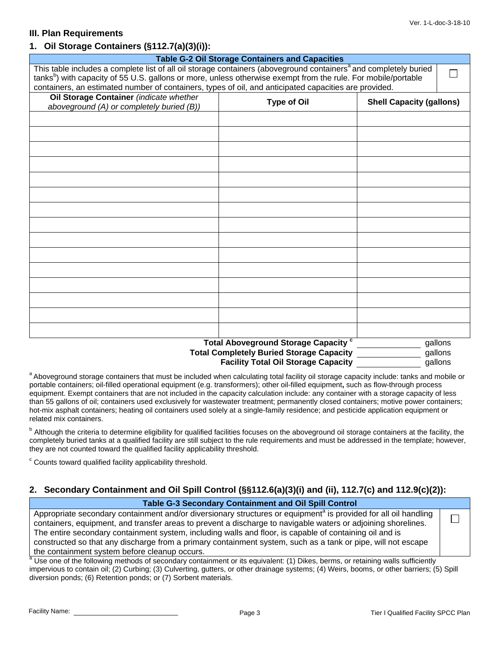#### **III. Plan Requirements**

#### **1. Oil Storage Containers (§112.7(a)(3)(i)):**

| <b>Table G-2 Oil Storage Containers and Capacities</b>                                                                       |                                                                                                                                                                                                                                    |                                 |         |
|------------------------------------------------------------------------------------------------------------------------------|------------------------------------------------------------------------------------------------------------------------------------------------------------------------------------------------------------------------------------|---------------------------------|---------|
| This table includes a complete list of all oil storage containers (aboveground containers <sup>a</sup> and completely buried |                                                                                                                                                                                                                                    |                                 |         |
|                                                                                                                              | tanks <sup>b</sup> ) with capacity of 55 U.S. gallons or more, unless otherwise exempt from the rule. For mobile/portable<br>containers, an estimated number of containers, types of oil, and anticipated capacities are provided. |                                 |         |
|                                                                                                                              |                                                                                                                                                                                                                                    |                                 |         |
| Oil Storage Container (indicate whether                                                                                      | <b>Type of Oil</b>                                                                                                                                                                                                                 | <b>Shell Capacity (gallons)</b> |         |
| aboveground (A) or completely buried (B))                                                                                    |                                                                                                                                                                                                                                    |                                 |         |
|                                                                                                                              |                                                                                                                                                                                                                                    |                                 |         |
|                                                                                                                              |                                                                                                                                                                                                                                    |                                 |         |
|                                                                                                                              |                                                                                                                                                                                                                                    |                                 |         |
|                                                                                                                              |                                                                                                                                                                                                                                    |                                 |         |
|                                                                                                                              |                                                                                                                                                                                                                                    |                                 |         |
|                                                                                                                              |                                                                                                                                                                                                                                    |                                 |         |
|                                                                                                                              |                                                                                                                                                                                                                                    |                                 |         |
|                                                                                                                              |                                                                                                                                                                                                                                    |                                 |         |
|                                                                                                                              |                                                                                                                                                                                                                                    |                                 |         |
|                                                                                                                              |                                                                                                                                                                                                                                    |                                 |         |
|                                                                                                                              |                                                                                                                                                                                                                                    |                                 |         |
|                                                                                                                              |                                                                                                                                                                                                                                    |                                 |         |
|                                                                                                                              |                                                                                                                                                                                                                                    |                                 |         |
|                                                                                                                              |                                                                                                                                                                                                                                    |                                 |         |
|                                                                                                                              |                                                                                                                                                                                                                                    |                                 |         |
|                                                                                                                              |                                                                                                                                                                                                                                    |                                 |         |
|                                                                                                                              | Total Aboveground Storage Capacity <sup>c</sup>                                                                                                                                                                                    |                                 | gallons |
|                                                                                                                              | <b>Total Completely Buried Storage Capacity</b>                                                                                                                                                                                    |                                 | gallons |
| <b>Facility Total Oil Storage Capacity</b><br>qallons                                                                        |                                                                                                                                                                                                                                    |                                 |         |

<sup>a</sup> Aboveground storage containers that must be included when calculating total facility oil storage capacity include: tanks and mobile or portable containers; oil-filled operational equipment (e.g. transformers); other oil-filled equipment**,** such as flow-through process equipment. Exempt containers that are not included in the capacity calculation include: any container with a storage capacity of less than 55 gallons of oil; containers used exclusively for wastewater treatment; permanently closed containers; motive power containers; hot-mix asphalt containers; heating oil containers used solely at a single-family residence; and pesticide application equipment or related mix containers.

<sup>b</sup> Although the criteria to determine eligibility for qualified facilities focuses on the aboveground oil storage containers at the facility, the completely buried tanks at a qualified facility are still subject to the rule requirements and must be addressed in the template; however, they are not counted toward the qualified facility applicability threshold.

<sup>c</sup> Counts toward qualified facility applicability threshold.

#### **2. Secondary Containment and Oil Spill Control (§§112.6(a)(3)(i) and (ii), 112.7(c) and 112.9(c)(2)):**

#### **Table G-3 Secondary Containment and Oil Spill Control**

Appropriate secondary containment and/or diversionary structures or equipment<sup>a</sup> is provided for all oil handling containers, equipment, and transfer areas to prevent a discharge to navigable waters or adjoining shorelines. The entire secondary containment system, including walls and floor, is capable of containing oil and is constructed so that any discharge from a primary containment system, such as a tank or pipe, will not escape the containment system before cleanup occurs.

a Use one of the following methods of secondary containment or its equivalent: (1) Dikes, berms, or retaining walls sufficiently impervious to contain oil; (2) Curbing; (3) Culverting, gutters, or other drainage systems; (4) Weirs, booms, or other barriers; (5) Spill diversion ponds; (6) Retention ponds; or (7) Sorbent materials.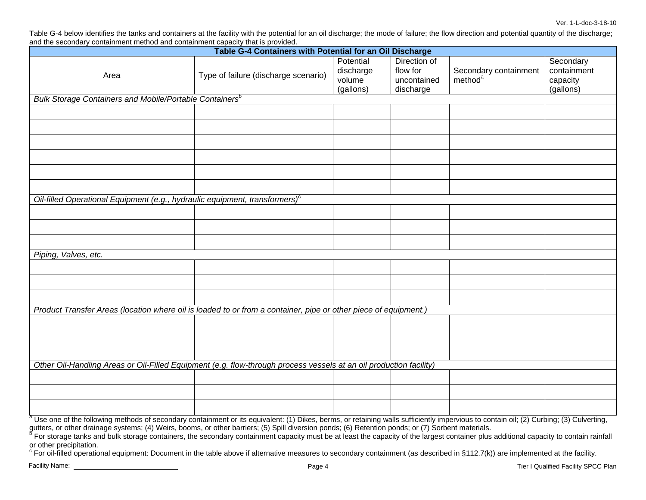Table G-4 below identifies the tanks and containers at the facility with the potential for an oil discharge; the mode of failure; the flow direction and potential quantity of the discharge; and the secondary containment method and containment capacity that is provided.

| and the eccentually containment method and containment capacity that is provided.<br>Table G-4 Containers with Potential for an Oil Discharge |                                      |                                               |                                                      |                                              |                                                   |
|-----------------------------------------------------------------------------------------------------------------------------------------------|--------------------------------------|-----------------------------------------------|------------------------------------------------------|----------------------------------------------|---------------------------------------------------|
| Area                                                                                                                                          | Type of failure (discharge scenario) | Potential<br>discharge<br>volume<br>(gallons) | Direction of<br>flow for<br>uncontained<br>discharge | Secondary containment<br>method <sup>a</sup> | Secondary<br>containment<br>capacity<br>(gallons) |
| <b>Bulk Storage Containers and Mobile/Portable Containers</b> <sup>b</sup>                                                                    |                                      |                                               |                                                      |                                              |                                                   |
|                                                                                                                                               |                                      |                                               |                                                      |                                              |                                                   |
|                                                                                                                                               |                                      |                                               |                                                      |                                              |                                                   |
|                                                                                                                                               |                                      |                                               |                                                      |                                              |                                                   |
|                                                                                                                                               |                                      |                                               |                                                      |                                              |                                                   |
|                                                                                                                                               |                                      |                                               |                                                      |                                              |                                                   |
|                                                                                                                                               |                                      |                                               |                                                      |                                              |                                                   |
| Oil-filled Operational Equipment (e.g., hydraulic equipment, transformers) <sup>c</sup>                                                       |                                      |                                               |                                                      |                                              |                                                   |
|                                                                                                                                               |                                      |                                               |                                                      |                                              |                                                   |
|                                                                                                                                               |                                      |                                               |                                                      |                                              |                                                   |
|                                                                                                                                               |                                      |                                               |                                                      |                                              |                                                   |
| Piping, Valves, etc.                                                                                                                          |                                      |                                               |                                                      |                                              |                                                   |
|                                                                                                                                               |                                      |                                               |                                                      |                                              |                                                   |
|                                                                                                                                               |                                      |                                               |                                                      |                                              |                                                   |
|                                                                                                                                               |                                      |                                               |                                                      |                                              |                                                   |
| Product Transfer Areas (location where oil is loaded to or from a container, pipe or other piece of equipment.)                               |                                      |                                               |                                                      |                                              |                                                   |
|                                                                                                                                               |                                      |                                               |                                                      |                                              |                                                   |
|                                                                                                                                               |                                      |                                               |                                                      |                                              |                                                   |
|                                                                                                                                               |                                      |                                               |                                                      |                                              |                                                   |
| Other Oil-Handling Areas or Oil-Filled Equipment (e.g. flow-through process vessels at an oil production facility)                            |                                      |                                               |                                                      |                                              |                                                   |
|                                                                                                                                               |                                      |                                               |                                                      |                                              |                                                   |
|                                                                                                                                               |                                      |                                               |                                                      |                                              |                                                   |
|                                                                                                                                               |                                      |                                               |                                                      |                                              |                                                   |

a Use one of the following methods of secondary containment or its equivalent: (1) Dikes, berms, or retaining walls sufficiently impervious to contain oil; (2) Curbing; (3) Culverting,<br>gutters, or other drainage systems; (

For storage tanks and bulk storage containers, the secondary containment capacity must be at least the capacity of the largest container plus additional capacity to contain rainfall or other precipitation.

 $\degree$  For oil-filled operational equipment: Document in the table above if alternative measures to secondary containment (as described in §112.7(k)) are implemented at the facility.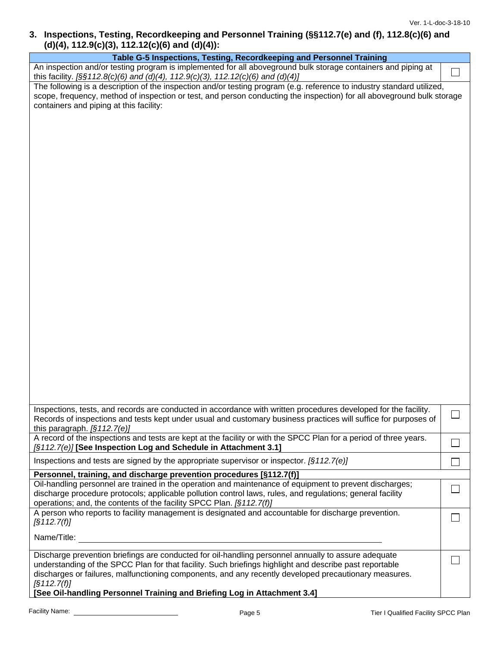### **3. Inspections, Testing, Recordkeeping and Personnel Training (§§112.7(e) and (f), 112.8(c)(6) and (d)(4), 112.9(c)(3), 112.12(c)(6) and (d)(4)):**

| Table G-5 Inspections, Testing, Recordkeeping and Personnel Training                                                                                                                                                                                                                                                                                                                                                               |  |  |
|------------------------------------------------------------------------------------------------------------------------------------------------------------------------------------------------------------------------------------------------------------------------------------------------------------------------------------------------------------------------------------------------------------------------------------|--|--|
| An inspection and/or testing program is implemented for all aboveground bulk storage containers and piping at<br>this facility. [§§112.8(c)(6) and (d)(4), 112.9(c)(3), 112.12(c)(6) and (d)(4)]                                                                                                                                                                                                                                   |  |  |
| The following is a description of the inspection and/or testing program (e.g. reference to industry standard utilized,<br>scope, frequency, method of inspection or test, and person conducting the inspection) for all aboveground bulk storage<br>containers and piping at this facility:                                                                                                                                        |  |  |
|                                                                                                                                                                                                                                                                                                                                                                                                                                    |  |  |
| Inspections, tests, and records are conducted in accordance with written procedures developed for the facility.<br>Records of inspections and tests kept under usual and customary business practices will suffice for purposes of<br>this paragraph. $[§112.7(e)]$                                                                                                                                                                |  |  |
| A record of the inspections and tests are kept at the facility or with the SPCC Plan for a period of three years.<br>[§112.7(e)] [See Inspection Log and Schedule in Attachment 3.1]                                                                                                                                                                                                                                               |  |  |
| Inspections and tests are signed by the appropriate supervisor or inspector. $\sqrt{(3112.7(e))}$                                                                                                                                                                                                                                                                                                                                  |  |  |
| Personnel, training, and discharge prevention procedures [§112.7(f)]                                                                                                                                                                                                                                                                                                                                                               |  |  |
| Oil-handling personnel are trained in the operation and maintenance of equipment to prevent discharges;<br>discharge procedure protocols; applicable pollution control laws, rules, and regulations; general facility<br>operations; and, the contents of the facility SPCC Plan. [§112.7(f)]                                                                                                                                      |  |  |
| A person who reports to facility management is designated and accountable for discharge prevention.<br>$\left[\S 1 12.7(f)\right]$                                                                                                                                                                                                                                                                                                 |  |  |
| Name/Title:                                                                                                                                                                                                                                                                                                                                                                                                                        |  |  |
| Discharge prevention briefings are conducted for oil-handling personnel annually to assure adequate<br>understanding of the SPCC Plan for that facility. Such briefings highlight and describe past reportable<br>discharges or failures, malfunctioning components, and any recently developed precautionary measures.<br>$\left[\S 1 12.7(f)\right]$<br>[See Oil-handling Personnel Training and Briefing Log in Attachment 3.4] |  |  |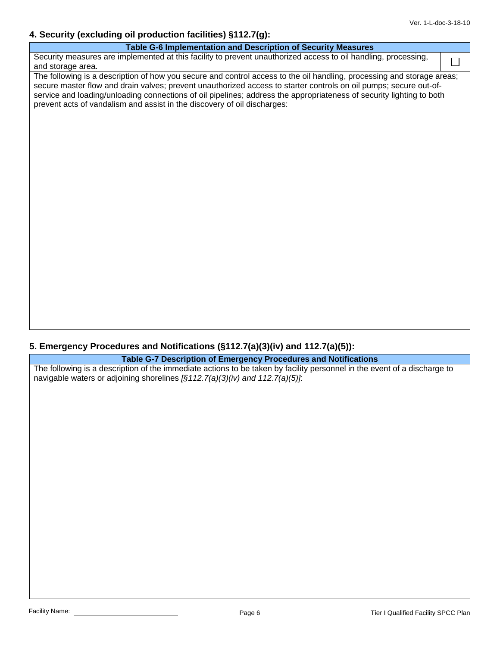## **4. Security (excluding oil production facilities) §112.7(g):**

## **5. Emergency Procedures and Notifications (§112.7(a)(3)(iv) and 112.7(a)(5)):**

**Table G-7 Description of Emergency Procedures and Notifications** 

The following is a description of the immediate actions to be taken by facility personnel in the event of a discharge to navigable waters or adjoining shorelines *[§112.7(a)(3)(iv) and 112.7(a)(5)]*: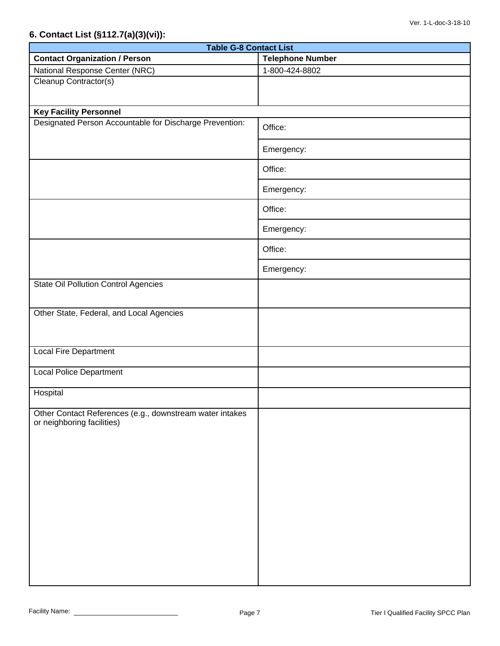## **6. Contact List (§112.7(a)(3)(vi)):**

| <b>Table G-8 Contact List</b>                                                          |                         |  |  |
|----------------------------------------------------------------------------------------|-------------------------|--|--|
| <b>Contact Organization / Person</b>                                                   | <b>Telephone Number</b> |  |  |
| National Response Center (NRC)                                                         | 1-800-424-8802          |  |  |
| Cleanup Contractor(s)                                                                  |                         |  |  |
| <b>Key Facility Personnel</b>                                                          |                         |  |  |
| Designated Person Accountable for Discharge Prevention:                                | Office:                 |  |  |
|                                                                                        | Emergency:              |  |  |
|                                                                                        | Office:                 |  |  |
|                                                                                        | Emergency:              |  |  |
|                                                                                        | Office:                 |  |  |
|                                                                                        | Emergency:              |  |  |
|                                                                                        | Office:                 |  |  |
|                                                                                        | Emergency:              |  |  |
| <b>State Oil Pollution Control Agencies</b>                                            |                         |  |  |
| Other State, Federal, and Local Agencies                                               |                         |  |  |
| Local Fire Department                                                                  |                         |  |  |
| <b>Local Police Department</b>                                                         |                         |  |  |
| Hospital                                                                               |                         |  |  |
| Other Contact References (e.g., downstream water intakes<br>or neighboring facilities) |                         |  |  |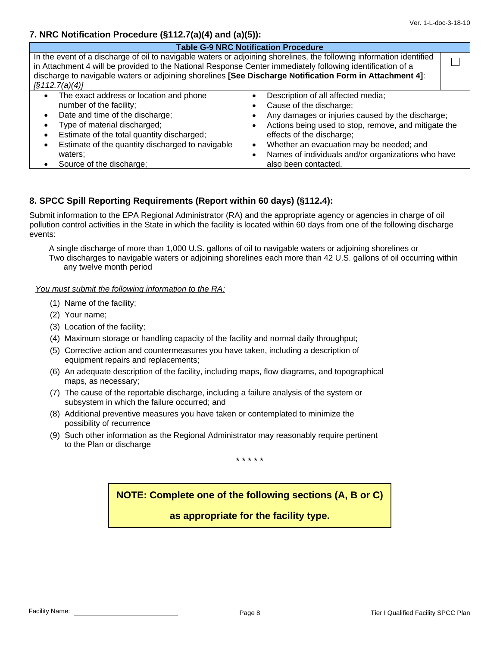#### **7. NRC Notification Procedure (§112.7(a)(4) and (a)(5)):**

| <b>Table G-9 NRC Notification Procedure</b>                                                                                                                                                                                                                                                                                                                             |                                                                                                                                                                                                                                                                                                                                               |  |  |
|-------------------------------------------------------------------------------------------------------------------------------------------------------------------------------------------------------------------------------------------------------------------------------------------------------------------------------------------------------------------------|-----------------------------------------------------------------------------------------------------------------------------------------------------------------------------------------------------------------------------------------------------------------------------------------------------------------------------------------------|--|--|
| In the event of a discharge of oil to navigable waters or adjoining shorelines, the following information identified<br>in Attachment 4 will be provided to the National Response Center immediately following identification of a<br>discharge to navigable waters or adjoining shorelines [See Discharge Notification Form in Attachment 4]:<br>$\sqrt{3112.7(a)(4)}$ |                                                                                                                                                                                                                                                                                                                                               |  |  |
| The exact address or location and phone<br>$\bullet$<br>number of the facility;<br>Date and time of the discharge;<br>$\bullet$<br>Type of material discharged;<br>Estimate of the total quantity discharged;<br>Estimate of the quantity discharged to navigable<br>$\bullet$<br>waters:<br>Source of the discharge;                                                   | Description of all affected media;<br>Cause of the discharge;<br>Any damages or injuries caused by the discharge;<br>Actions being used to stop, remove, and mitigate the<br>effects of the discharge;<br>Whether an evacuation may be needed; and<br>$\bullet$<br>Names of individuals and/or organizations who have<br>also been contacted. |  |  |

### **8. SPCC Spill Reporting Requirements (Report within 60 days) (§112.4):**

Submit information to the EPA Regional Administrator (RA) and the appropriate agency or agencies in charge of oil pollution control activities in the State in which the facility is located within 60 days from one of the following discharge events:

A single discharge of more than 1,000 U.S. gallons of oil to navigable waters or adjoining shorelines or Two discharges to navigable waters or adjoining shorelines each more than 42 U.S. gallons of oil occurring within any twelve month period

*You must submit the following information to the RA:*

- (1) Name of the facility;
- (2) Your name;
- (3) Location of the facility;
- (4) Maximum storage or handling capacity of the facility and normal daily throughput;
- (5) Corrective action and countermeasures you have taken, including a description of equipment repairs and replacements;
- (6) An adequate description of the facility, including maps, flow diagrams, and topographical maps, as necessary;
- (7) The cause of the reportable discharge, including a failure analysis of the system or subsystem in which the failure occurred; and
- (8) Additional preventive measures you have taken or contemplated to minimize the possibility of recurrence
- (9) Such other information as the Regional Administrator may reasonably require pertinent to the Plan or discharge

\* \* \* \* \*

**NOTE: Complete one of the following sections (A, B or C)** 

**as appropriate for the facility type.**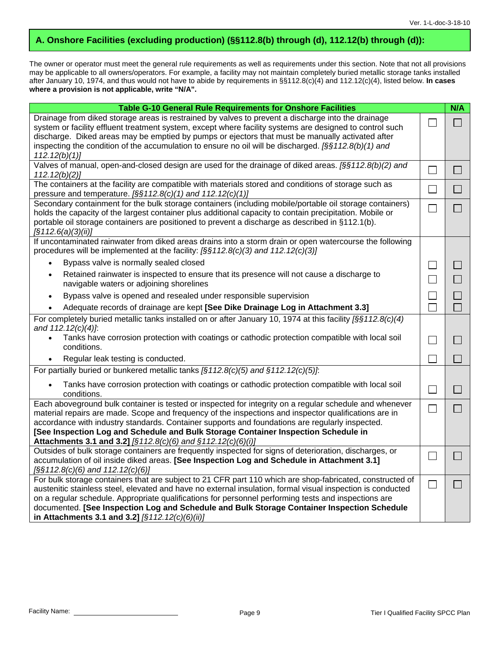## **A. Onshore Facilities (excluding production) (§§112.8(b) through (d), 112.12(b) through (d)):**

The owner or operator must meet the general rule requirements as well as requirements under this section. Note that not all provisions may be applicable to all owners/operators. For example, a facility may not maintain completely buried metallic storage tanks installed after January 10, 1974, and thus would not have to abide by requirements in §§112.8(c)(4) and 112.12(c)(4), listed below. **In cases where a provision is not applicable, write "N/A".**

| <b>Table G-10 General Rule Requirements for Onshore Facilities</b>                                                                                                                                                                                                                                                                                                                                                                 |                          | N/A            |
|------------------------------------------------------------------------------------------------------------------------------------------------------------------------------------------------------------------------------------------------------------------------------------------------------------------------------------------------------------------------------------------------------------------------------------|--------------------------|----------------|
| Drainage from diked storage areas is restrained by valves to prevent a discharge into the drainage<br>system or facility effluent treatment system, except where facility systems are designed to control such<br>discharge. Diked areas may be emptied by pumps or ejectors that must be manually activated after<br>inspecting the condition of the accumulation to ensure no oil will be discharged. $\frac{55112.8(b)}{1}$ and |                          |                |
| 112.12(b)(1)                                                                                                                                                                                                                                                                                                                                                                                                                       |                          |                |
| Valves of manual, open-and-closed design are used for the drainage of diked areas. $\frac{56112.8(b)}{2}$ and<br>112.12(b)(2)                                                                                                                                                                                                                                                                                                      | $\sim$                   |                |
| The containers at the facility are compatible with materials stored and conditions of storage such as<br>pressure and temperature. [§§112.8(c)(1) and 112.12(c)(1)]                                                                                                                                                                                                                                                                |                          |                |
| Secondary containment for the bulk storage containers (including mobile/portable oil storage containers)<br>holds the capacity of the largest container plus additional capacity to contain precipitation. Mobile or<br>portable oil storage containers are positioned to prevent a discharge as described in §112.1(b).<br>$\sqrt{S}112.6(a)(3)(ii)$                                                                              | $\Box$                   | $\Box$         |
| If uncontaminated rainwater from diked areas drains into a storm drain or open watercourse the following<br>procedures will be implemented at the facility: [§§112.8(c)(3) and 112.12(c)(3)]                                                                                                                                                                                                                                       |                          |                |
| Bypass valve is normally sealed closed                                                                                                                                                                                                                                                                                                                                                                                             |                          |                |
| Retained rainwater is inspected to ensure that its presence will not cause a discharge to<br>navigable waters or adjoining shorelines                                                                                                                                                                                                                                                                                              |                          |                |
| Bypass valve is opened and resealed under responsible supervision                                                                                                                                                                                                                                                                                                                                                                  | $\vert \ \ \vert$        | $\Box$         |
| Adequate records of drainage are kept [See Dike Drainage Log in Attachment 3.3]                                                                                                                                                                                                                                                                                                                                                    |                          |                |
| For completely buried metallic tanks installed on or after January 10, 1974 at this facility $\frac{1}{2}\frac{1}{2}\frac{3}{2}\frac{2}{6}$<br>and 112.12(c)(4)]:                                                                                                                                                                                                                                                                  |                          |                |
| Tanks have corrosion protection with coatings or cathodic protection compatible with local soil<br>conditions.                                                                                                                                                                                                                                                                                                                     | $\mathsf{L}$             | ×.             |
| Regular leak testing is conducted.                                                                                                                                                                                                                                                                                                                                                                                                 |                          |                |
| For partially buried or bunkered metallic tanks $\sqrt{(s112.8(c)/5)}$ and $\sqrt{(s112.12(c)/5)}$ .                                                                                                                                                                                                                                                                                                                               |                          |                |
| Tanks have corrosion protection with coatings or cathodic protection compatible with local soil<br>conditions.                                                                                                                                                                                                                                                                                                                     | $\overline{\phantom{a}}$ | <b>College</b> |
| Each aboveground bulk container is tested or inspected for integrity on a regular schedule and whenever<br>material repairs are made. Scope and frequency of the inspections and inspector qualifications are in                                                                                                                                                                                                                   | $\sim$                   |                |
| accordance with industry standards. Container supports and foundations are regularly inspected.<br>[See Inspection Log and Schedule and Bulk Storage Container Inspection Schedule in                                                                                                                                                                                                                                              |                          |                |
| Attachments 3.1 and 3.2] [§112.8(c)(6) and §112.12(c)(6)(i)]<br>Outsides of bulk storage containers are frequently inspected for signs of deterioration, discharges, or                                                                                                                                                                                                                                                            |                          |                |
| accumulation of oil inside diked areas. [See Inspection Log and Schedule in Attachment 3.1]<br>$[$ §§112.8(c)(6) and 112.12(c)(6)]                                                                                                                                                                                                                                                                                                 | $\mathsf{L}$             |                |
| For bulk storage containers that are subject to 21 CFR part 110 which are shop-fabricated, constructed of<br>austenitic stainless steel, elevated and have no external insulation, formal visual inspection is conducted<br>on a regular schedule. Appropriate qualifications for personnel performing tests and inspections are<br>documented. [See Inspection Log and Schedule and Bulk Storage Container Inspection Schedule    | $\Box$                   | $\sim$         |
| in Attachments 3.1 and 3.2] $[§112.12(c)(6)(ii)]$                                                                                                                                                                                                                                                                                                                                                                                  |                          |                |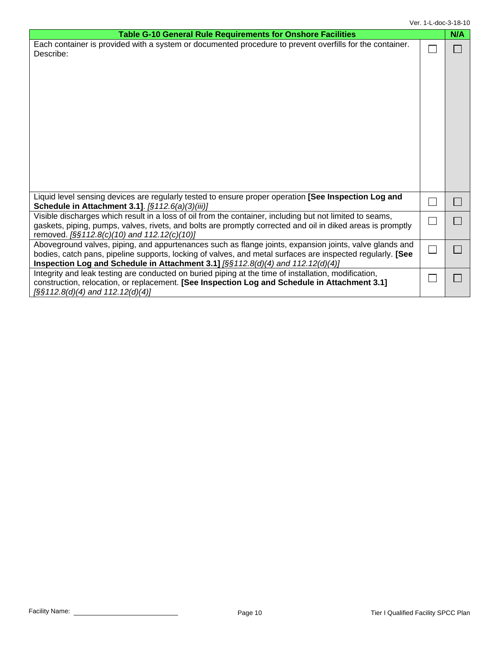| Table G-10 General Rule Requirements for Onshore Facilities                                                                                                                                                                                                                                                    | N/A |
|----------------------------------------------------------------------------------------------------------------------------------------------------------------------------------------------------------------------------------------------------------------------------------------------------------------|-----|
| Each container is provided with a system or documented procedure to prevent overfills for the container.<br>Describe:                                                                                                                                                                                          |     |
| Liquid level sensing devices are regularly tested to ensure proper operation [See Inspection Log and<br>Schedule in Attachment 3.1]. [§112.6(a)(3)(iii)]                                                                                                                                                       |     |
| Visible discharges which result in a loss of oil from the container, including but not limited to seams,<br>gaskets, piping, pumps, valves, rivets, and bolts are promptly corrected and oil in diked areas is promptly<br>removed. [§§112.8(c)(10) and 112.12(c)(10)]                                         |     |
| Aboveground valves, piping, and appurtenances such as flange joints, expansion joints, valve glands and<br>bodies, catch pans, pipeline supports, locking of valves, and metal surfaces are inspected regularly. [See<br>Inspection Log and Schedule in Attachment 3.1] $[\S \S 112.8(d)(4)$ and 112.12(d)(4)] |     |
| Integrity and leak testing are conducted on buried piping at the time of installation, modification,<br>construction, relocation, or replacement. [See Inspection Log and Schedule in Attachment 3.1]<br>$[$ §§112.8(d)(4) and 112.12(d)(4)]                                                                   |     |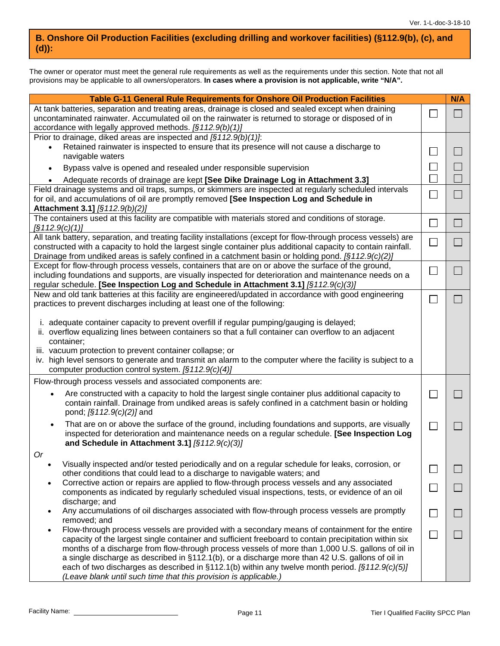### **B. Onshore Oil Production Facilities (excluding drilling and workover facilities) (§112.9(b), (c), and (d)):**

The owner or operator must meet the general rule requirements as well as the requirements under this section. Note that not all provisions may be applicable to all owners/operators. **In cases where a provision is not applicable, write "N/A".**

| Table G-11 General Rule Requirements for Onshore Oil Production Facilities                                                                                                                         |                             | N/A                         |
|----------------------------------------------------------------------------------------------------------------------------------------------------------------------------------------------------|-----------------------------|-----------------------------|
| At tank batteries, separation and treating areas, drainage is closed and sealed except when draining                                                                                               |                             |                             |
| uncontaminated rainwater. Accumulated oil on the rainwater is returned to storage or disposed of in                                                                                                | ×.                          | $\Box$                      |
| accordance with legally approved methods. [§112.9(b)(1)]                                                                                                                                           |                             |                             |
| Prior to drainage, diked areas are inspected and $\sqrt{(3112.9(b)(1))}$ .                                                                                                                         |                             |                             |
| Retained rainwater is inspected to ensure that its presence will not cause a discharge to<br>$\bullet$                                                                                             | ×                           | $\Box$                      |
| navigable waters                                                                                                                                                                                   |                             |                             |
| Bypass valve is opened and resealed under responsible supervision<br>$\bullet$                                                                                                                     | $\mathcal{L}_{\mathcal{A}}$ | $\Box$                      |
| Adequate records of drainage are kept [See Dike Drainage Log in Attachment 3.3]<br>$\bullet$                                                                                                       |                             | $\Box$                      |
| Field drainage systems and oil traps, sumps, or skimmers are inspected at regularly scheduled intervals                                                                                            |                             |                             |
| for oil, and accumulations of oil are promptly removed [See Inspection Log and Schedule in                                                                                                         | $\Box$                      | $\Box$                      |
| Attachment 3.1] [§112.9(b)(2)]                                                                                                                                                                     |                             |                             |
| The containers used at this facility are compatible with materials stored and conditions of storage.                                                                                               |                             |                             |
| $\left[\S 112.9(c)(1)\right]$                                                                                                                                                                      | $\Box$                      | $\Box$                      |
| All tank battery, separation, and treating facility installations (except for flow-through process vessels) are                                                                                    | $\mathcal{L}_{\mathcal{A}}$ | $\Box$                      |
| constructed with a capacity to hold the largest single container plus additional capacity to contain rainfall.                                                                                     |                             |                             |
| Drainage from undiked areas is safely confined in a catchment basin or holding pond. $\sqrt{(3112.9)(c)(2)}$                                                                                       |                             |                             |
| Except for flow-through process vessels, containers that are on or above the surface of the ground,                                                                                                | $\mathbb{Z}$                | H                           |
| including foundations and supports, are visually inspected for deterioration and maintenance needs on a                                                                                            |                             |                             |
| regular schedule. [See Inspection Log and Schedule in Attachment 3.1] [§112.9(c)(3)]                                                                                                               |                             |                             |
| New and old tank batteries at this facility are engineered/updated in accordance with good engineering                                                                                             | $\sim$                      | I.                          |
| practices to prevent discharges including at least one of the following:                                                                                                                           |                             |                             |
|                                                                                                                                                                                                    |                             |                             |
| i. adequate container capacity to prevent overfill if regular pumping/gauging is delayed;<br>ii. overflow equalizing lines between containers so that a full container can overflow to an adjacent |                             |                             |
| container;                                                                                                                                                                                         |                             |                             |
| iii. vacuum protection to prevent container collapse; or                                                                                                                                           |                             |                             |
| iv. high level sensors to generate and transmit an alarm to the computer where the facility is subject to a                                                                                        |                             |                             |
| computer production control system. [§112.9(c)(4)]                                                                                                                                                 |                             |                             |
| Flow-through process vessels and associated components are:                                                                                                                                        |                             |                             |
| Are constructed with a capacity to hold the largest single container plus additional capacity to<br>$\bullet$                                                                                      | $\mathcal{L}_{\mathcal{A}}$ | <b>College</b>              |
| contain rainfall. Drainage from undiked areas is safely confined in a catchment basin or holding                                                                                                   |                             |                             |
| pond; [§112.9(c)(2)] and                                                                                                                                                                           |                             |                             |
| That are on or above the surface of the ground, including foundations and supports, are visually                                                                                                   |                             |                             |
| $\bullet$<br>inspected for deterioration and maintenance needs on a regular schedule. [See Inspection Log                                                                                          | $\Box$                      | L.                          |
| and Schedule in Attachment 3.1] [§112.9(c)(3)]                                                                                                                                                     |                             |                             |
| Or.                                                                                                                                                                                                |                             |                             |
| Visually inspected and/or tested periodically and on a regular schedule for leaks, corrosion, or<br>٠                                                                                              |                             |                             |
| other conditions that could lead to a discharge to navigable waters; and                                                                                                                           |                             | <b>COL</b>                  |
| Corrective action or repairs are applied to flow-through process vessels and any associated                                                                                                        |                             |                             |
| components as indicated by regularly scheduled visual inspections, tests, or evidence of an oil                                                                                                    |                             | $\mathcal{L}_{\mathcal{A}}$ |
| discharge; and                                                                                                                                                                                     |                             |                             |
| Any accumulations of oil discharges associated with flow-through process vessels are promptly                                                                                                      | $\sim$                      | $\mathcal{L}_{\mathcal{A}}$ |
| removed; and                                                                                                                                                                                       |                             |                             |
| Flow-through process vessels are provided with a secondary means of containment for the entire                                                                                                     | $\mathcal{L}_{\mathcal{A}}$ | b.                          |
| capacity of the largest single container and sufficient freeboard to contain precipitation within six                                                                                              |                             |                             |
| months of a discharge from flow-through process vessels of more than 1,000 U.S. gallons of oil in                                                                                                  |                             |                             |
| a single discharge as described in §112.1(b), or a discharge more than 42 U.S. gallons of oil in                                                                                                   |                             |                             |
| each of two discharges as described in $\S 112.1(b)$ within any twelve month period. [ $\S 112.9(c)(5)$ ]                                                                                          |                             |                             |
| (Leave blank until such time that this provision is applicable.)                                                                                                                                   |                             |                             |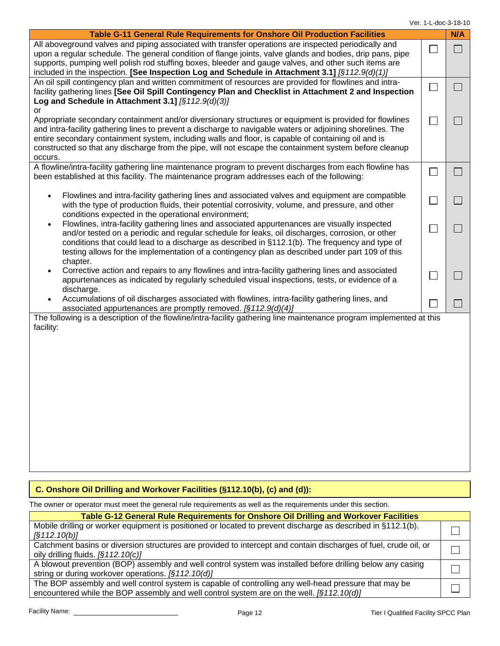Ver. 1-L-doc-3-18-10

| <b>Table G-11 General Rule Requirements for Onshore Oil Production Facilities</b>                                                                                                                                                                                                                                                                                                                                                                       |                             | N/A |
|---------------------------------------------------------------------------------------------------------------------------------------------------------------------------------------------------------------------------------------------------------------------------------------------------------------------------------------------------------------------------------------------------------------------------------------------------------|-----------------------------|-----|
| All aboveground valves and piping associated with transfer operations are inspected periodically and<br>upon a regular schedule. The general condition of flange joints, valve glands and bodies, drip pans, pipe<br>supports, pumping well polish rod stuffing boxes, bleeder and gauge valves, and other such items are<br>included in the inspection. [See Inspection Log and Schedule in Attachment 3.1] [§112.9(d)(1)]                             | $\mathcal{L}_{\mathcal{A}}$ |     |
| An oil spill contingency plan and written commitment of resources are provided for flowlines and intra-<br>facility gathering lines [See Oil Spill Contingency Plan and Checklist in Attachment 2 and Inspection<br>Log and Schedule in Attachment 3.1] [§112.9(d)(3)]                                                                                                                                                                                  | $\mathbb{R}^2$              |     |
| or<br>Appropriate secondary containment and/or diversionary structures or equipment is provided for flowlines<br>and intra-facility gathering lines to prevent a discharge to navigable waters or adjoining shorelines. The<br>entire secondary containment system, including walls and floor, is capable of containing oil and is<br>constructed so that any discharge from the pipe, will not escape the containment system before cleanup<br>occurs. |                             |     |
| A flowline/intra-facility gathering line maintenance program to prevent discharges from each flowline has<br>been established at this facility. The maintenance program addresses each of the following:                                                                                                                                                                                                                                                | $\mathcal{L}_{\mathcal{A}}$ | H   |
| Flowlines and intra-facility gathering lines and associated valves and equipment are compatible<br>$\bullet$<br>with the type of production fluids, their potential corrosivity, volume, and pressure, and other<br>conditions expected in the operational environment;                                                                                                                                                                                 | $\mathcal{L}_{\mathcal{A}}$ |     |
| Flowlines, intra-facility gathering lines and associated appurtenances are visually inspected<br>$\bullet$<br>and/or tested on a periodic and regular schedule for leaks, oil discharges, corrosion, or other<br>conditions that could lead to a discharge as described in §112.1(b). The frequency and type of<br>testing allows for the implementation of a contingency plan as described under part 109 of this<br>chapter.                          |                             |     |
| Corrective action and repairs to any flowlines and intra-facility gathering lines and associated<br>$\bullet$<br>appurtenances as indicated by regularly scheduled visual inspections, tests, or evidence of a<br>discharge.                                                                                                                                                                                                                            |                             |     |
| Accumulations of oil discharges associated with flowlines, intra-facility gathering lines, and<br>associated appurtenances are promptly removed. $\sqrt{(5112.9(d)(4))}$                                                                                                                                                                                                                                                                                |                             |     |
| The following is a description of the flowline/intra-facility gathering line maintenance program implemented at this<br>facility:                                                                                                                                                                                                                                                                                                                       |                             |     |
| $\vert$ C. Onshore Oil Drilling and Workover Facilities (§112.10(b), (c) and (d)):                                                                                                                                                                                                                                                                                                                                                                      |                             |     |

### **C. Onshore Oil Drilling and Workover Facilities (§112.10(b), (c) and (d)):**

The owner or operator must meet the general rule requirements as well as the requirements under this section.

| Table G-12 General Rule Requirements for Onshore Oil Drilling and Workover Facilities                            |  |  |  |  |
|------------------------------------------------------------------------------------------------------------------|--|--|--|--|
| Mobile drilling or worker equipment is positioned or located to prevent discharge as described in §112.1(b).     |  |  |  |  |
| [§112.10(b)]                                                                                                     |  |  |  |  |
| Catchment basins or diversion structures are provided to intercept and contain discharges of fuel, crude oil, or |  |  |  |  |
| oily drilling fluids. $\sqrt{212.10(c)}$                                                                         |  |  |  |  |
| A blowout prevention (BOP) assembly and well control system was installed before drilling below any casing       |  |  |  |  |
| string or during workover operations. [§112.10(d)]                                                               |  |  |  |  |
| The BOP assembly and well control system is capable of controlling any well-head pressure that may be            |  |  |  |  |
| encountered while the BOP assembly and well control system are on the well. $\sqrt{212.10(d)}$                   |  |  |  |  |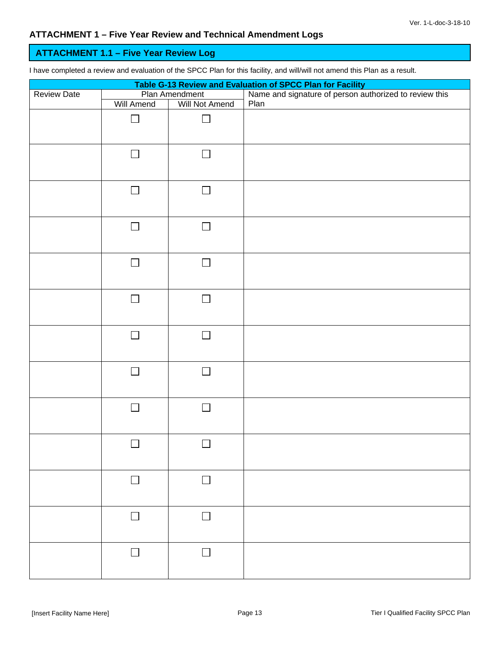### **ATTACHMENT 1.1 – Five Year Review Log**

I have completed a review and evaluation of the SPCC Plan for this facility, and will/will not amend this Plan as a result.

| Table G-13 Review and Evaluation of SPCC Plan for Facility |            |                                  |                                                                |  |  |
|------------------------------------------------------------|------------|----------------------------------|----------------------------------------------------------------|--|--|
| <b>Review Date</b>                                         | Will Amend | Plan Amendment<br>Will Not Amend | Name and signature of person authorized to review this<br>Plan |  |  |
|                                                            | $\Box$     | $\Box$                           |                                                                |  |  |
|                                                            | $\Box$     | $\mathbf{I}$                     |                                                                |  |  |
|                                                            | $\Box$     | $\Box$                           |                                                                |  |  |
|                                                            | $\Box$     | $\Box$                           |                                                                |  |  |
|                                                            | $\Box$     | $\Box$                           |                                                                |  |  |
|                                                            | $\Box$     | $\Box$                           |                                                                |  |  |
|                                                            | $\Box$     | $\Box$                           |                                                                |  |  |
|                                                            | $\Box$     | П                                |                                                                |  |  |
|                                                            | $\Box$     | $\mathcal{L}$                    |                                                                |  |  |
|                                                            | $\Box$     | $\Box$                           |                                                                |  |  |
|                                                            | $\Box$     |                                  |                                                                |  |  |
|                                                            | $\Box$     | $\mathbf{I}$                     |                                                                |  |  |
|                                                            | $\Box$     | П                                |                                                                |  |  |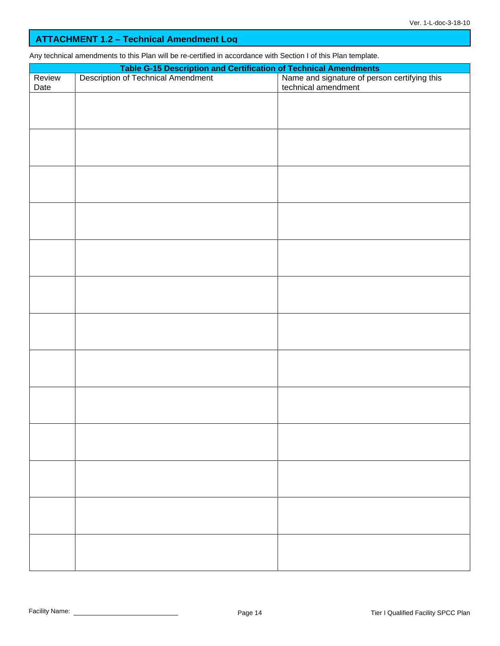### **ATTACHMENT 1.2 – Technical Amendment Log**

Any technical amendments to this Plan will be re-certified in accordance with Section I of this Plan template.

|        | Table G-15 Description and Certification of Technical Amendments<br>Description of Technical Amendment<br>Rame and signature of person certifying this<br>technical amendment |  |  |  |  |  |  |
|--------|-------------------------------------------------------------------------------------------------------------------------------------------------------------------------------|--|--|--|--|--|--|
| Review |                                                                                                                                                                               |  |  |  |  |  |  |
| Date   |                                                                                                                                                                               |  |  |  |  |  |  |
|        |                                                                                                                                                                               |  |  |  |  |  |  |
|        |                                                                                                                                                                               |  |  |  |  |  |  |
|        |                                                                                                                                                                               |  |  |  |  |  |  |
|        |                                                                                                                                                                               |  |  |  |  |  |  |
|        |                                                                                                                                                                               |  |  |  |  |  |  |
|        |                                                                                                                                                                               |  |  |  |  |  |  |
|        |                                                                                                                                                                               |  |  |  |  |  |  |
|        |                                                                                                                                                                               |  |  |  |  |  |  |
|        |                                                                                                                                                                               |  |  |  |  |  |  |
|        |                                                                                                                                                                               |  |  |  |  |  |  |
|        |                                                                                                                                                                               |  |  |  |  |  |  |
|        |                                                                                                                                                                               |  |  |  |  |  |  |
|        |                                                                                                                                                                               |  |  |  |  |  |  |
|        |                                                                                                                                                                               |  |  |  |  |  |  |
|        |                                                                                                                                                                               |  |  |  |  |  |  |
|        |                                                                                                                                                                               |  |  |  |  |  |  |
|        |                                                                                                                                                                               |  |  |  |  |  |  |
|        |                                                                                                                                                                               |  |  |  |  |  |  |
|        |                                                                                                                                                                               |  |  |  |  |  |  |
|        |                                                                                                                                                                               |  |  |  |  |  |  |
|        |                                                                                                                                                                               |  |  |  |  |  |  |
|        |                                                                                                                                                                               |  |  |  |  |  |  |
|        |                                                                                                                                                                               |  |  |  |  |  |  |
|        |                                                                                                                                                                               |  |  |  |  |  |  |
|        |                                                                                                                                                                               |  |  |  |  |  |  |
|        |                                                                                                                                                                               |  |  |  |  |  |  |
|        |                                                                                                                                                                               |  |  |  |  |  |  |
|        |                                                                                                                                                                               |  |  |  |  |  |  |
|        |                                                                                                                                                                               |  |  |  |  |  |  |
|        |                                                                                                                                                                               |  |  |  |  |  |  |
|        |                                                                                                                                                                               |  |  |  |  |  |  |
|        |                                                                                                                                                                               |  |  |  |  |  |  |
|        |                                                                                                                                                                               |  |  |  |  |  |  |
|        |                                                                                                                                                                               |  |  |  |  |  |  |
|        |                                                                                                                                                                               |  |  |  |  |  |  |
|        |                                                                                                                                                                               |  |  |  |  |  |  |
|        |                                                                                                                                                                               |  |  |  |  |  |  |
|        |                                                                                                                                                                               |  |  |  |  |  |  |
|        |                                                                                                                                                                               |  |  |  |  |  |  |
|        |                                                                                                                                                                               |  |  |  |  |  |  |
|        |                                                                                                                                                                               |  |  |  |  |  |  |
|        |                                                                                                                                                                               |  |  |  |  |  |  |
|        |                                                                                                                                                                               |  |  |  |  |  |  |
|        |                                                                                                                                                                               |  |  |  |  |  |  |
|        |                                                                                                                                                                               |  |  |  |  |  |  |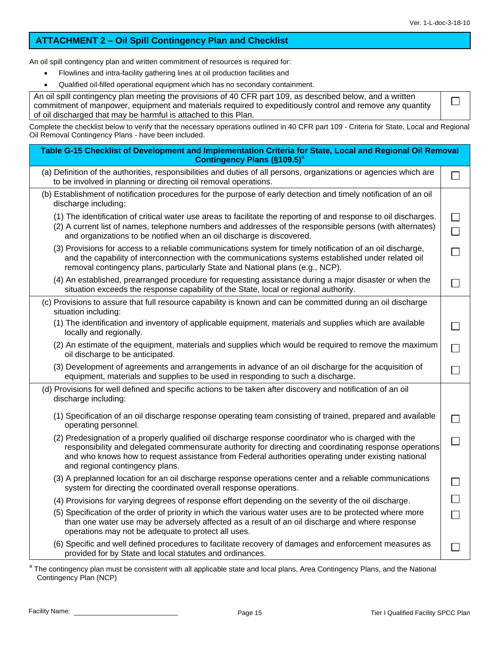$\Box$ 

#### **ATTACHMENT 2 – Oil Spill Contingency Plan and Checklist**

An oil spill contingency plan and written commitment of resources is required for:

- Flowlines and intra-facility gathering lines at oil production facilities and
- Qualified oil-filled operational equipment which has no secondary containment.

An oil spill contingency plan meeting the provisions of 40 CFR part 109, as described below, and a written commitment of manpower, equipment and materials required to expeditiously control and remove any quantity of oil discharged that may be harmful is attached to this Plan.

Complete the checklist below to verify that the necessary operations outlined in 40 CFR part 109 - Criteria for State, Local and Regional Oil Removal Contingency Plans - have been included.

| Table G-15 Checklist of Development and Implementation Criteria for State, Local and Regional Oil Removal<br><b>Contingency Plans (§109.5)</b> <sup>a</sup>                                                                                                                                                                                              |        |
|----------------------------------------------------------------------------------------------------------------------------------------------------------------------------------------------------------------------------------------------------------------------------------------------------------------------------------------------------------|--------|
| (a) Definition of the authorities, responsibilities and duties of all persons, organizations or agencies which are<br>to be involved in planning or directing oil removal operations.                                                                                                                                                                    |        |
| (b) Establishment of notification procedures for the purpose of early detection and timely notification of an oil<br>discharge including:                                                                                                                                                                                                                |        |
| (1) The identification of critical water use areas to facilitate the reporting of and response to oil discharges.<br>(2) A current list of names, telephone numbers and addresses of the responsible persons (with alternates)<br>and organizations to be notified when an oil discharge is discovered.                                                  |        |
| (3) Provisions for access to a reliable communications system for timely notification of an oil discharge,<br>and the capability of interconnection with the communications systems established under related oil<br>removal contingency plans, particularly State and National plans (e.g., NCP).                                                       |        |
| (4) An established, prearranged procedure for requesting assistance during a major disaster or when the<br>situation exceeds the response capability of the State, local or regional authority.                                                                                                                                                          |        |
| (c) Provisions to assure that full resource capability is known and can be committed during an oil discharge<br>situation including:                                                                                                                                                                                                                     |        |
| (1) The identification and inventory of applicable equipment, materials and supplies which are available<br>locally and regionally.                                                                                                                                                                                                                      |        |
| (2) An estimate of the equipment, materials and supplies which would be required to remove the maximum<br>oil discharge to be anticipated.                                                                                                                                                                                                               |        |
| (3) Development of agreements and arrangements in advance of an oil discharge for the acquisition of<br>equipment, materials and supplies to be used in responding to such a discharge.                                                                                                                                                                  |        |
| (d) Provisions for well defined and specific actions to be taken after discovery and notification of an oil<br>discharge including:                                                                                                                                                                                                                      |        |
| (1) Specification of an oil discharge response operating team consisting of trained, prepared and available<br>operating personnel.                                                                                                                                                                                                                      |        |
| (2) Predesignation of a properly qualified oil discharge response coordinator who is charged with the<br>responsibility and delegated commensurate authority for directing and coordinating response operations<br>and who knows how to request assistance from Federal authorities operating under existing national<br>and regional contingency plans. |        |
| (3) A preplanned location for an oil discharge response operations center and a reliable communications<br>system for directing the coordinated overall response operations.                                                                                                                                                                             |        |
| (4) Provisions for varying degrees of response effort depending on the severity of the oil discharge.                                                                                                                                                                                                                                                    |        |
| (5) Specification of the order of priority in which the various water uses are to be protected where more<br>than one water use may be adversely affected as a result of an oil discharge and where response<br>operations may not be adequate to protect all uses.                                                                                      | $\Box$ |
| (6) Specific and well defined procedures to facilitate recovery of damages and enforcement measures as<br>provided for by State and local statutes and ordinances.                                                                                                                                                                                       |        |

<sup>&</sup>lt;sup>a</sup> The contingency plan must be consistent with all applicable state and local plans, Area Contingency Plans, and the National Contingency Plan (NCP)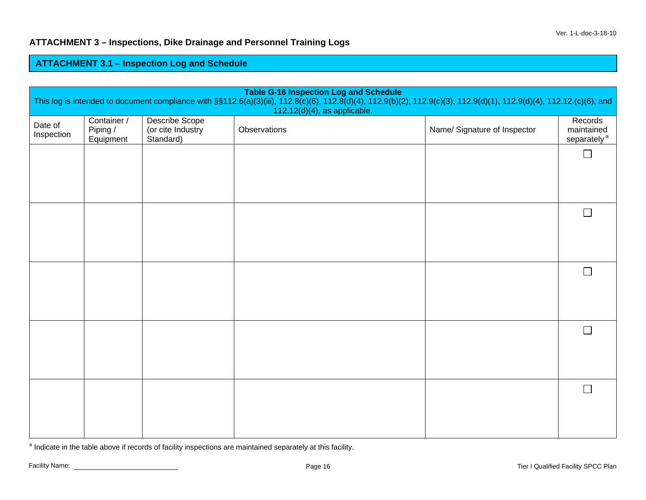### **ATTACHMENT 3 – Inspections, Dike Drainage and Personnel Training Logs**

#### **ATTACHMENT 3.1 – Ins pection Lo g and Schedule**

| <b>Table G-16 Inspection Log and Schedule</b><br>This log is intended to document compliance with §§112.6(a)(3)(iii), 112.8(c)(6), 112.8(d)(4), 112.9(b)(2), 112.9(c)(3), 112.9(d)(1), 112.9(d)(4), 112.12.(c)(6), and<br>112.12(d)(4), as applicable. |                                      |                                                  |              |                              |                                                  |
|--------------------------------------------------------------------------------------------------------------------------------------------------------------------------------------------------------------------------------------------------------|--------------------------------------|--------------------------------------------------|--------------|------------------------------|--------------------------------------------------|
| Date of<br>Inspection                                                                                                                                                                                                                                  | Container /<br>Piping /<br>Equipment | Describe Scope<br>(or cite Industry<br>Standard) | Observations | Name/ Signature of Inspector | Records<br>maintained<br>separately <sup>a</sup> |
|                                                                                                                                                                                                                                                        |                                      |                                                  |              |                              | $\Box$                                           |
|                                                                                                                                                                                                                                                        |                                      |                                                  |              |                              |                                                  |
|                                                                                                                                                                                                                                                        |                                      |                                                  |              |                              | $\mathbb{R}^n$                                   |
|                                                                                                                                                                                                                                                        |                                      |                                                  |              |                              |                                                  |
|                                                                                                                                                                                                                                                        |                                      |                                                  |              |                              | $\mathbf{L}$                                     |
|                                                                                                                                                                                                                                                        |                                      |                                                  |              |                              |                                                  |
|                                                                                                                                                                                                                                                        |                                      |                                                  |              |                              | $\Box$                                           |
|                                                                                                                                                                                                                                                        |                                      |                                                  |              |                              |                                                  |
|                                                                                                                                                                                                                                                        |                                      |                                                  |              |                              | $\Box$                                           |
|                                                                                                                                                                                                                                                        |                                      |                                                  |              |                              |                                                  |

<sup>a</sup> Indicate in the table above if records of facility inspections are maintained separately at this facility.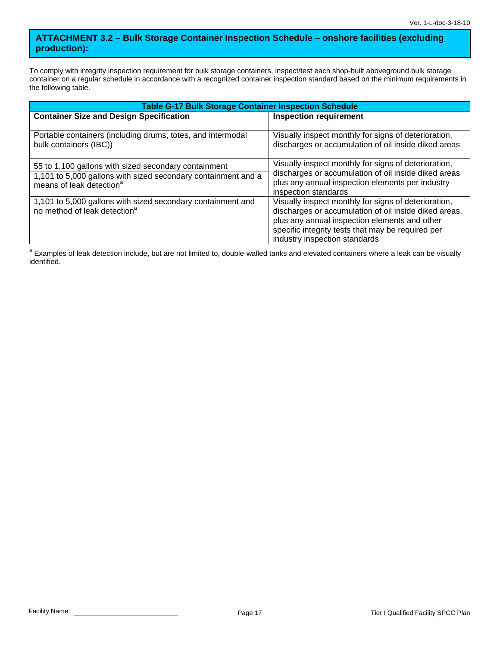### **ATTACHMENT 3.2 – Bulk Storage Container Inspection Schedule – onshore facilities (excluding production):**

To comply with integrity inspection requirement for bulk storage containers, inspect/test each shop-built aboveground bulk storage container on a regular schedule in accordance with a recognized container inspection standard based on the minimum requirements in the following table.

| <b>Table G-17 Bulk Storage Container Inspection Schedule</b>                                                                                                  |                                                                                                                                                                                                                                                      |  |  |  |  |
|---------------------------------------------------------------------------------------------------------------------------------------------------------------|------------------------------------------------------------------------------------------------------------------------------------------------------------------------------------------------------------------------------------------------------|--|--|--|--|
| <b>Container Size and Design Specification</b>                                                                                                                | <b>Inspection requirement</b>                                                                                                                                                                                                                        |  |  |  |  |
| Portable containers (including drums, totes, and intermodal<br>bulk containers (IBC))                                                                         | Visually inspect monthly for signs of deterioration,<br>discharges or accumulation of oil inside diked areas                                                                                                                                         |  |  |  |  |
| 55 to 1,100 gallons with sized secondary containment<br>1,101 to 5,000 gallons with sized secondary containment and a<br>means of leak detection <sup>a</sup> | Visually inspect monthly for signs of deterioration,<br>discharges or accumulation of oil inside diked areas<br>plus any annual inspection elements per industry<br>inspection standards                                                             |  |  |  |  |
| 1,101 to 5,000 gallons with sized secondary containment and<br>no method of leak detection <sup>a</sup>                                                       | Visually inspect monthly for signs of deterioration,<br>discharges or accumulation of oil inside diked areas,<br>plus any annual inspection elements and other<br>specific integrity tests that may be required per<br>industry inspection standards |  |  |  |  |

<sup>a</sup> Examples of leak detection include, but are not limited to, double-walled tanks and elevated containers where a leak can be visually identified.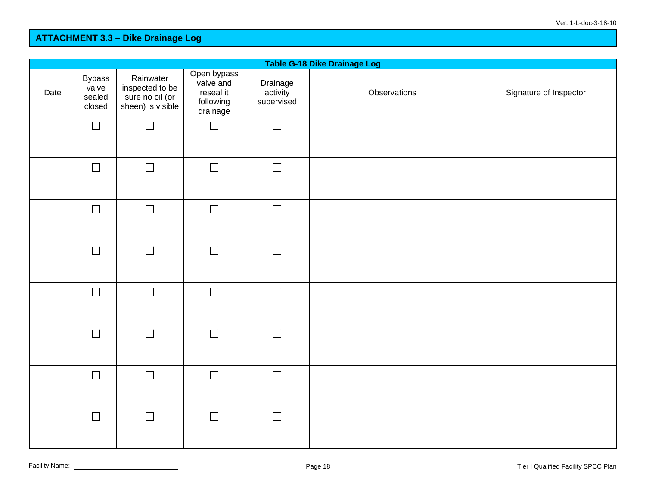| Table G-18 Dike Drainage Log |                                            |                                                                      |                                                                |                                    |              |                        |
|------------------------------|--------------------------------------------|----------------------------------------------------------------------|----------------------------------------------------------------|------------------------------------|--------------|------------------------|
| Date                         | <b>Bypass</b><br>valve<br>sealed<br>closed | Rainwater<br>inspected to be<br>sure no oil (or<br>sheen) is visible | Open bypass<br>valve and<br>reseal it<br>following<br>drainage | Drainage<br>activity<br>supervised | Observations | Signature of Inspector |
|                              | $\Box$                                     | $\Box$                                                               | $\Box$                                                         | $\Box$                             |              |                        |
|                              | $\Box$                                     | $\Box$                                                               | $\Box$                                                         | $\Box$                             |              |                        |
|                              | $\Box$                                     | $\Box$                                                               | $\Box$                                                         | $\Box$                             |              |                        |
|                              | $\Box$                                     | $\Box$                                                               | $\Box$                                                         | $\Box$                             |              |                        |
|                              | $\Box$                                     | $\Box$                                                               | $\Box$                                                         | $\Box$                             |              |                        |
|                              | $\Box$                                     | $\Box$                                                               | $\Box$                                                         | $\Box$                             |              |                        |
|                              | $\Box$                                     | $\Box$                                                               | $\Box$                                                         | $\Box$                             |              |                        |
|                              | $\Box$                                     | $\Box$                                                               | $\Box$                                                         | $\Box$                             |              |                        |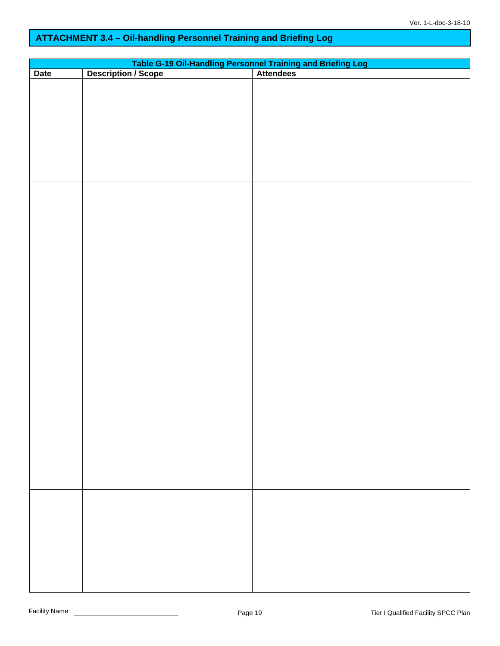## **ATTACHMENT 3.4 – Oil-handling Personnel Training and Briefing Log**

|             | Table G-19 Oil-Handling Personnel Training and Briefing Log<br>Description / Scope   Attendees |  |  |  |  |  |  |
|-------------|------------------------------------------------------------------------------------------------|--|--|--|--|--|--|
| <b>Date</b> |                                                                                                |  |  |  |  |  |  |
|             |                                                                                                |  |  |  |  |  |  |
|             |                                                                                                |  |  |  |  |  |  |
|             |                                                                                                |  |  |  |  |  |  |
|             |                                                                                                |  |  |  |  |  |  |
|             |                                                                                                |  |  |  |  |  |  |
|             |                                                                                                |  |  |  |  |  |  |
|             |                                                                                                |  |  |  |  |  |  |
|             |                                                                                                |  |  |  |  |  |  |
|             |                                                                                                |  |  |  |  |  |  |
|             |                                                                                                |  |  |  |  |  |  |
|             |                                                                                                |  |  |  |  |  |  |
|             |                                                                                                |  |  |  |  |  |  |
|             |                                                                                                |  |  |  |  |  |  |
|             |                                                                                                |  |  |  |  |  |  |
|             |                                                                                                |  |  |  |  |  |  |
|             |                                                                                                |  |  |  |  |  |  |
|             |                                                                                                |  |  |  |  |  |  |
|             |                                                                                                |  |  |  |  |  |  |
|             |                                                                                                |  |  |  |  |  |  |
|             |                                                                                                |  |  |  |  |  |  |
|             |                                                                                                |  |  |  |  |  |  |
|             |                                                                                                |  |  |  |  |  |  |
|             |                                                                                                |  |  |  |  |  |  |
|             |                                                                                                |  |  |  |  |  |  |
|             |                                                                                                |  |  |  |  |  |  |
|             |                                                                                                |  |  |  |  |  |  |
|             |                                                                                                |  |  |  |  |  |  |
|             |                                                                                                |  |  |  |  |  |  |
|             |                                                                                                |  |  |  |  |  |  |
|             |                                                                                                |  |  |  |  |  |  |
|             |                                                                                                |  |  |  |  |  |  |
|             |                                                                                                |  |  |  |  |  |  |
|             |                                                                                                |  |  |  |  |  |  |
|             |                                                                                                |  |  |  |  |  |  |
|             |                                                                                                |  |  |  |  |  |  |
|             |                                                                                                |  |  |  |  |  |  |
|             |                                                                                                |  |  |  |  |  |  |
|             |                                                                                                |  |  |  |  |  |  |
|             |                                                                                                |  |  |  |  |  |  |
|             |                                                                                                |  |  |  |  |  |  |
|             |                                                                                                |  |  |  |  |  |  |
|             |                                                                                                |  |  |  |  |  |  |
|             |                                                                                                |  |  |  |  |  |  |
|             |                                                                                                |  |  |  |  |  |  |
|             |                                                                                                |  |  |  |  |  |  |
|             |                                                                                                |  |  |  |  |  |  |
|             |                                                                                                |  |  |  |  |  |  |